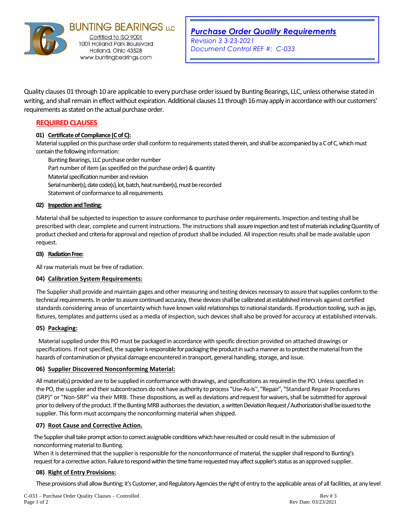

**BUNTING BEARINGS LLC** 1001 Holland Park Boulevard Holland, Ohio 43528 www.buntingbearings.com

Quality clauses 01 through 10 are applicable to every purchase order issued by Bunting Bearings, LLC, unless otherwise stated in writing, and shall remain in effect without expiration. Additional clauses 11 through 16may apply in accordance with our customers' requirements as stated on the actual purchase order.

# **REQUIRED CLAUSES**

## **01) Certificate of Compliance (C of C):**

Material supplied on this purchase order shall conform to requirements stated therein, and shall be accompanied by a C of C, which must contain the following information:

Bunting Bearings, LLC purchase order number Part number of item (as specified on the purchase order) & quantity Material specification number and revision Serial number(s), date code(s), lot, batch, heat number(s), must be recorded Statement of conformance to all requirements

### **02) Inspection and Testing:**

Material shall be subjected to inspection to assure conformance to purchase order requirements. Inspection and testing shall be prescribed with clear, complete and current instructions. The instructions shall assure inspection and test of materials including Quantity of product checked and criteria for approval and rejection of product shall be included. All inspection results shall be made available upon request.

### **03) Radiation Free:**

All raw materials must be free of radiation.

## **04) Calibration System Requirements:**

The Supplier shall provide and maintain gages and other measuring and testing devices necessary to assure that supplies conform to the technical requirements. In order to assure continued accuracy, these devices shall be calibrated at established intervals against certified standards considering areas of uncertainty which have known valid relationships to national standards. If production tooling, such as jigs, fixtures, templates and patterns used as a media of inspection, such devices shall also be proved for accuracy at established intervals.

## **05) Packaging:**

Material supplied under this PO must be packaged in accordance with specific direction provided on attached drawings or specifications. If not specified, the supplier is responsible for packaging the product in such a manner as to protect the material from the hazards of contamination or physical damage encountered in transport, general handling, storage, and issue.

#### **06) Supplier Discovered Nonconforming Material:**

All material(s) provided are to be supplied in conformance with drawings, and specifications as required in the PO. Unless specified in the PO, the supplier and their subcontractors do not have authority to process "Use-As-Is", "Repair", "Standard Repair Procedures (SRP)" or "Non-SRP" via their MRB. These dispositions, as well as deviations and request for waivers, shall be submitted for approval prior to delivery of the product. If the Bunting MRB authorizes the deviation, a written Deviation Request / Authorization shall be issued to the supplier. This form must accompany the nonconforming material when shipped.

#### **07) Root Cause and Corrective Action.**

The Supplier shall take prompt action to correct assignable conditions which have resulted or could result in the submission of nonconforming material to Bunting.

When it is determined that the supplier is responsible for the nonconformance of material, the supplier shall respond to Bunting's request for a corrective action. Failure to respond within the time frame requested may affect supplier's status as an approved supplier.

## **08) Right of Entry Provisions:**

These provisions shall allow Bunting; it's Customer, and Regulatory Agencies the right of entry to the applicable areas of all facilities, at any level